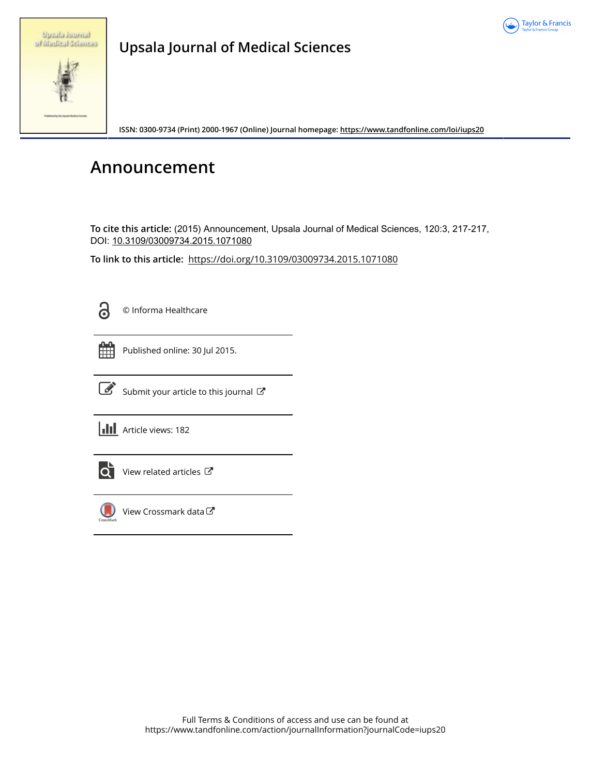

|  | <b>Uppublicitieni</b> |
|--|-----------------------|
|  | of Madical Seturiess  |

**Upsala Journal of Medical Sciences**

**ISSN: 0300-9734 (Print) 2000-1967 (Online) Journal homepage:<https://www.tandfonline.com/loi/iups20>**

## **Announcement**

**To cite this article:** (2015) Announcement, Upsala Journal of Medical Sciences, 120:3, 217-217, DOI: [10.3109/03009734.2015.1071080](https://www.tandfonline.com/action/showCitFormats?doi=10.3109/03009734.2015.1071080)

**To link to this article:** <https://doi.org/10.3109/03009734.2015.1071080>



© Informa Healthcare

Published online: 30 Jul 2015.



 $\overrightarrow{S}$  [Submit your article to this journal](https://www.tandfonline.com/action/authorSubmission?journalCode=iups20&show=instructions)  $\overrightarrow{S}$ 

**III** Article views: 182



 $\overline{Q}$  [View related articles](https://www.tandfonline.com/doi/mlt/10.3109/03009734.2015.1071080)  $\mathbb{Z}$ 



 $\bigcirc$  [View Crossmark data](http://crossmark.crossref.org/dialog/?doi=10.3109/03009734.2015.1071080&domain=pdf&date_stamp=2015-07-30)  $\mathbb{Z}$